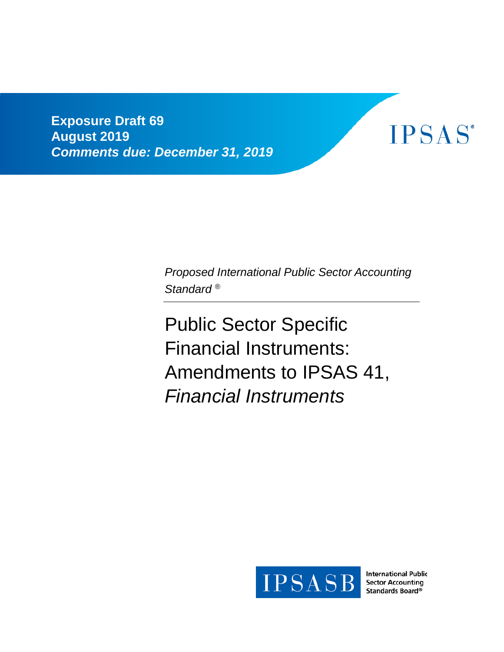**Exposure Draft 69 August 2019** *Comments due: December 31, 2019*



*Proposed International Public Sector Accounting Standard ®*

Public Sector Specific Financial Instruments: Amendments to IPSAS 41, *Financial Instruments*



**International Public Sector Accounting** Standards Board<sup>®</sup>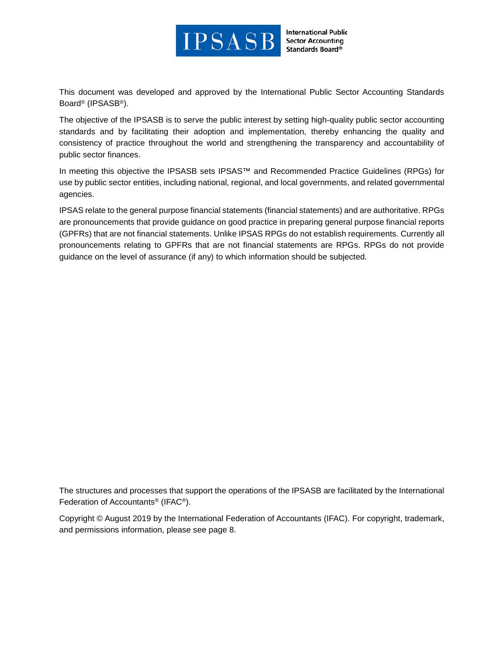

**International Public Sector Accounting** Standards Board®

This document was developed and approved by the International Public Sector Accounting Standards Board® (IPSASB®).

The objective of the IPSASB is to serve the public interest by setting high-quality public sector accounting standards and by facilitating their adoption and implementation, thereby enhancing the quality and consistency of practice throughout the world and strengthening the transparency and accountability of public sector finances.

In meeting this objective the IPSASB sets IPSAS™ and Recommended Practice Guidelines (RPGs) for use by public sector entities, including national, regional, and local governments, and related governmental agencies.

IPSAS relate to the general purpose financial statements (financial statements) and are authoritative. RPGs are pronouncements that provide guidance on good practice in preparing general purpose financial reports (GPFRs) that are not financial statements. Unlike IPSAS RPGs do not establish requirements. Currently all pronouncements relating to GPFRs that are not financial statements are RPGs. RPGs do not provide guidance on the level of assurance (if any) to which information should be subjected.

The structures and processes that support the operations of the IPSASB are facilitated by the International Federation of Accountants® (IFAC®).

Copyright © August 2019 by the International Federation of Accountants (IFAC). For copyright, trademark, and permissions information, please see page 8.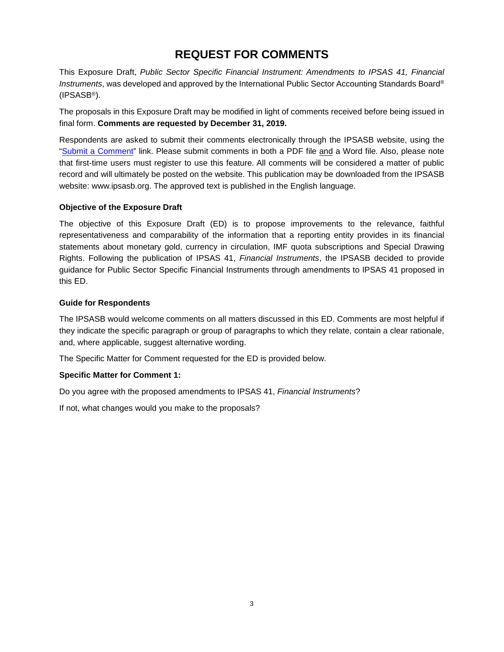# **REQUEST FOR COMMENTS**

This Exposure Draft, *Public Sector Specific Financial Instrument: Amendments to IPSAS 41, Financial Instruments*, was developed and approved by the International Public Sector Accounting Standards Board® (IPSASB®).

The proposals in this Exposure Draft may be modified in light of comments received before being issued in final form. **Comments are requested by December 31, 2019.**

Respondents are asked to submit their comments electronically through the IPSASB website, using the ["Submit a Comment"](https://www.ifac.org/publications-resources/exposure-draft-69-public-sector-financial-instruments-amendments-ipsas-41) link. Please submit comments in both a PDF file and a Word file. Also, please note that first-time users must register to use this feature. All comments will be considered a matter of public record and will ultimately be posted on the website. This publication may be downloaded from the IPSASB website: www.ipsasb.org. The approved text is published in the English language.

#### **Objective of the Exposure Draft**

The objective of this Exposure Draft (ED) is to propose improvements to the relevance, faithful representativeness and comparability of the information that a reporting entity provides in its financial statements about monetary gold, currency in circulation, IMF quota subscriptions and Special Drawing Rights. Following the publication of IPSAS 41, *Financial Instruments*, the IPSASB decided to provide guidance for Public Sector Specific Financial Instruments through amendments to IPSAS 41 proposed in this ED.

#### **Guide for Respondents**

The IPSASB would welcome comments on all matters discussed in this ED. Comments are most helpful if they indicate the specific paragraph or group of paragraphs to which they relate, contain a clear rationale, and, where applicable, suggest alternative wording.

The Specific Matter for Comment requested for the ED is provided below.

#### **Specific Matter for Comment 1:**

Do you agree with the proposed amendments to IPSAS 41, *Financial Instruments*?

If not, what changes would you make to the proposals?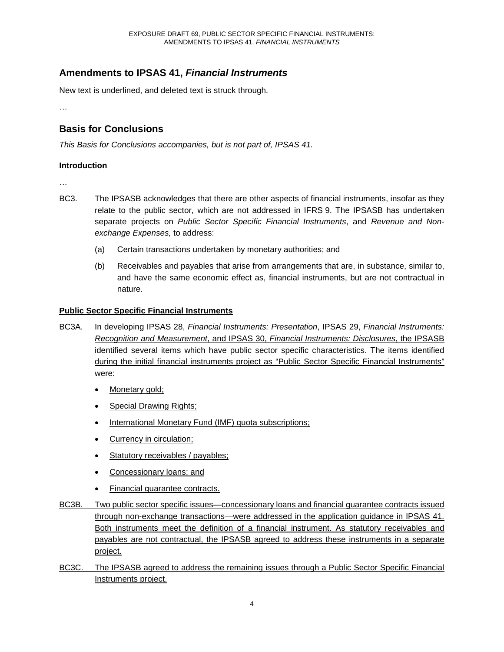# **Amendments to IPSAS 41,** *Financial Instruments*

New text is underlined, and deleted text is struck through.

…

# **Basis for Conclusions**

*This Basis for Conclusions accompanies, but is not part of, IPSAS 41.*

#### **Introduction**

…

- BC3. The IPSASB acknowledges that there are other aspects of financial instruments, insofar as they relate to the public sector, which are not addressed in IFRS 9. The IPSASB has undertaken separate projects on *Public Sector Specific Financial Instruments*, and *Revenue and Nonexchange Expenses,* to address:
	- (a) Certain transactions undertaken by monetary authorities; and
	- (b) Receivables and payables that arise from arrangements that are, in substance, similar to, and have the same economic effect as, financial instruments, but are not contractual in nature.

#### **Public Sector Specific Financial Instruments**

- BC3A. In developing IPSAS 28, *Financial Instruments: Presentation*, IPSAS 29, *Financial Instruments: Recognition and Measurement*, and IPSAS 30, *Financial Instruments: Disclosures*, the IPSASB identified several items which have public sector specific characteristics. The items identified during the initial financial instruments project as "Public Sector Specific Financial Instruments" were:
	- Monetary gold;
	- Special Drawing Rights;
	- International Monetary Fund (IMF) quota subscriptions;
	- Currency in circulation;
	- Statutory receivables / payables;
	- Concessionary loans; and
	- Financial guarantee contracts.
- BC3B. Two public sector specific issues—concessionary loans and financial guarantee contracts issued through non-exchange transactions—were addressed in the application guidance in IPSAS 41. Both instruments meet the definition of a financial instrument. As statutory receivables and payables are not contractual, the IPSASB agreed to address these instruments in a separate project.
- BC3C. The IPSASB agreed to address the remaining issues through a Public Sector Specific Financial Instruments project.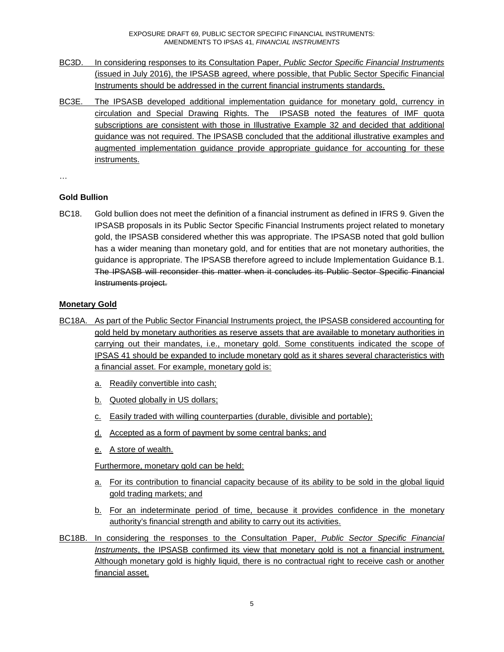- BC3D. In considering responses to its Consultation Paper, *Public Sector Specific Financial Instruments* (issued in July 2016), the IPSASB agreed, where possible, that Public Sector Specific Financial Instruments should be addressed in the current financial instruments standards.
- BC3E. The IPSASB developed additional implementation guidance for monetary gold, currency in circulation and Special Drawing Rights. The IPSASB noted the features of IMF quota subscriptions are consistent with those in Illustrative Example 32 and decided that additional guidance was not required. The IPSASB concluded that the additional illustrative examples and augmented implementation guidance provide appropriate guidance for accounting for these instruments.
- …

# **Gold Bullion**

BC18. Gold bullion does not meet the definition of a financial instrument as defined in IFRS 9. Given the IPSASB proposals in its Public Sector Specific Financial Instruments project related to monetary gold, the IPSASB considered whether this was appropriate. The IPSASB noted that gold bullion has a wider meaning than monetary gold, and for entities that are not monetary authorities, the guidance is appropriate. The IPSASB therefore agreed to include Implementation Guidance B.1. The IPSASB will reconsider this matter when it concludes its Public Sector Specific Financial Instruments project.

# **Monetary Gold**

- BC18A. As part of the Public Sector Financial Instruments project, the IPSASB considered accounting for gold held by monetary authorities as reserve assets that are available to monetary authorities in carrying out their mandates, i.e., monetary gold. Some constituents indicated the scope of IPSAS 41 should be expanded to include monetary gold as it shares several characteristics with a financial asset. For example, monetary gold is:
	- a. Readily convertible into cash;
	- b. Quoted globally in US dollars;
	- c. Easily traded with willing counterparties (durable, divisible and portable);
	- d. Accepted as a form of payment by some central banks; and
	- e. A store of wealth.

Furthermore, monetary gold can be held:

- a. For its contribution to financial capacity because of its ability to be sold in the global liquid gold trading markets; and
- b. For an indeterminate period of time, because it provides confidence in the monetary authority's financial strength and ability to carry out its activities.
- BC18B. In considering the responses to the Consultation Paper, *Public Sector Specific Financial Instruments*, the IPSASB confirmed its view that monetary gold is not a financial instrument. Although monetary gold is highly liquid, there is no contractual right to receive cash or another financial asset.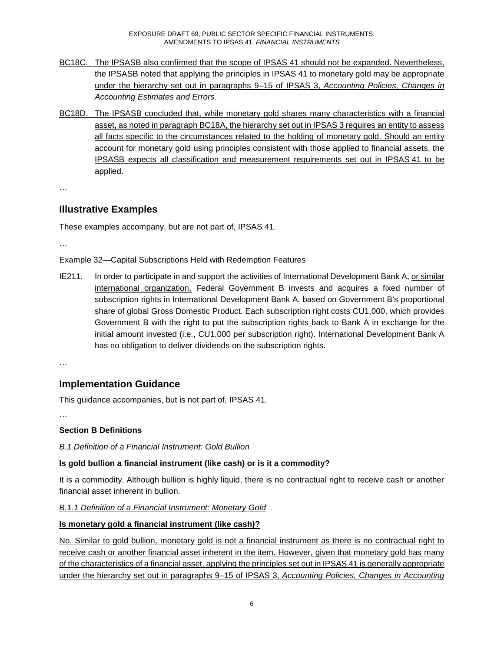- BC18C. The IPSASB also confirmed that the scope of IPSAS 41 should not be expanded. Nevertheless, the IPSASB noted that applying the principles in IPSAS 41 to monetary gold may be appropriate under the hierarchy set out in paragraphs 9–15 of IPSAS 3, *Accounting Policies, Changes in Accounting Estimates and Errors*.
- BC18D. The IPSASB concluded that, while monetary gold shares many characteristics with a financial asset, as noted in paragraph BC18A, the hierarchy set out in IPSAS 3 requires an entity to assess all facts specific to the circumstances related to the holding of monetary gold. Should an entity account for monetary gold using principles consistent with those applied to financial assets, the IPSASB expects all classification and measurement requirements set out in IPSAS 41 to be applied.

…

# **Illustrative Examples**

These examples accompany, but are not part of, IPSAS 41.

…

Example 32—Capital Subscriptions Held with Redemption Features

IE211. In order to participate in and support the activities of International Development Bank A, or similar international organization, Federal Government B invests and acquires a fixed number of subscription rights in International Development Bank A, based on Government B's proportional share of global Gross Domestic Product. Each subscription right costs CU1,000, which provides Government B with the right to put the subscription rights back to Bank A in exchange for the initial amount invested (i.e., CU1,000 per subscription right). International Development Bank A has no obligation to deliver dividends on the subscription rights.

…

# **Implementation Guidance**

This guidance accompanies, but is not part of, IPSAS 41.

…

## **Section B Definitions**

*B.1 Definition of a Financial Instrument: Gold Bullion*

## **Is gold bullion a financial instrument (like cash) or is it a commodity?**

It is a commodity. Although bullion is highly liquid, there is no contractual right to receive cash or another financial asset inherent in bullion.

## *B.1.1 Definition of a Financial Instrument: Monetary Gold*

## **Is monetary gold a financial instrument (like cash)?**

No. Similar to gold bullion, monetary gold is not a financial instrument as there is no contractual right to receive cash or another financial asset inherent in the item. However, given that monetary gold has many of the characteristics of a financial asset, applying the principles set out in IPSAS 41 is generally appropriate under the hierarchy set out in paragraphs 9–15 of IPSAS 3, *Accounting Policies, Changes in Accounting*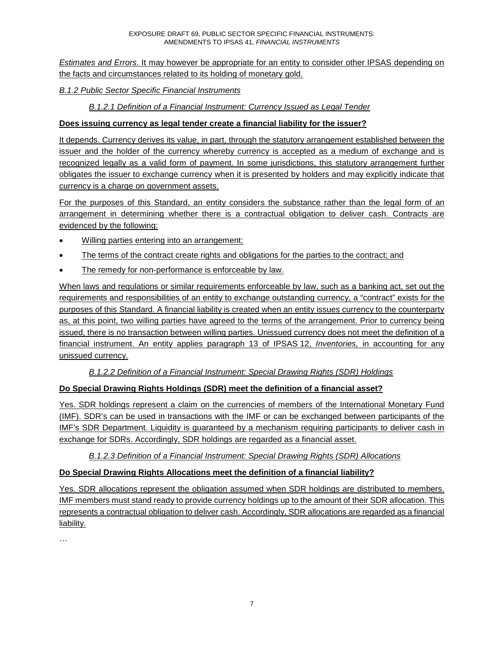*Estimates and Errors*. It may however be appropriate for an entity to consider other IPSAS depending on the facts and circumstances related to its holding of monetary gold.

## *B.1.2 Public Sector Specific Financial Instruments*

#### *B.1.2.1 Definition of a Financial Instrument: Currency Issued as Legal Tender*

#### **Does issuing currency as legal tender create a financial liability for the issuer?**

It depends. Currency derives its value, in part, through the statutory arrangement established between the issuer and the holder of the currency whereby currency is accepted as a medium of exchange and is recognized legally as a valid form of payment. In some jurisdictions, this statutory arrangement further obligates the issuer to exchange currency when it is presented by holders and may explicitly indicate that currency is a charge on government assets.

For the purposes of this Standard, an entity considers the substance rather than the legal form of an arrangement in determining whether there is a contractual obligation to deliver cash. Contracts are evidenced by the following:

- Willing parties entering into an arrangement;
- The terms of the contract create rights and obligations for the parties to the contract; and
- The remedy for non-performance is enforceable by law.

When laws and regulations or similar requirements enforceable by law, such as a banking act, set out the requirements and responsibilities of an entity to exchange outstanding currency, a "contract" exists for the purposes of this Standard. A financial liability is created when an entity issues currency to the counterparty as, at this point, two willing parties have agreed to the terms of the arrangement. Prior to currency being issued, there is no transaction between willing parties. Unissued currency does not meet the definition of a financial instrument. An entity applies paragraph 13 of IPSAS 12, *Inventories,* in accounting for any unissued currency.

#### *B.1.2.2 Definition of a Financial Instrument: Special Drawing Rights (SDR) Holdings*

## **Do Special Drawing Rights Holdings (SDR) meet the definition of a financial asset?**

Yes. SDR holdings represent a claim on the currencies of members of the International Monetary Fund (IMF). SDR's can be used in transactions with the IMF or can be exchanged between participants of the IMF's SDR Department. Liquidity is guaranteed by a mechanism requiring participants to deliver cash in exchange for SDRs. Accordingly, SDR holdings are regarded as a financial asset.

#### *B.1.2.3 Definition of a Financial Instrument: Special Drawing Rights (SDR) Allocations*

## **Do Special Drawing Rights Allocations meet the definition of a financial liability?**

Yes. SDR allocations represent the obligation assumed when SDR holdings are distributed to members. IMF members must stand ready to provide currency holdings up to the amount of their SDR allocation. This represents a contractual obligation to deliver cash. Accordingly, SDR allocations are regarded as a financial liability.

…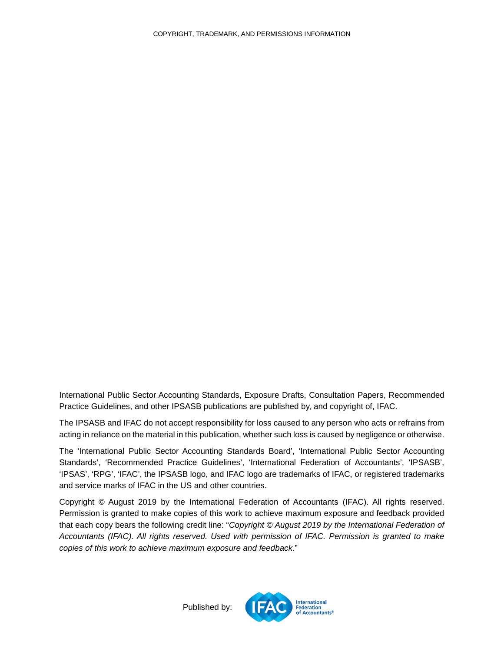International Public Sector Accounting Standards, Exposure Drafts, Consultation Papers, Recommended Practice Guidelines, and other IPSASB publications are published by, and copyright of, IFAC.

The IPSASB and IFAC do not accept responsibility for loss caused to any person who acts or refrains from acting in reliance on the material in this publication, whether such loss is caused by negligence or otherwise.

The 'International Public Sector Accounting Standards Board', 'International Public Sector Accounting Standards', 'Recommended Practice Guidelines', 'International Federation of Accountants', 'IPSASB', 'IPSAS', 'RPG', 'IFAC', the IPSASB logo, and IFAC logo are trademarks of IFAC, or registered trademarks and service marks of IFAC in the US and other countries.

Copyright © August 2019 by the International Federation of Accountants (IFAC). All rights reserved. Permission is granted to make copies of this work to achieve maximum exposure and feedback provided that each copy bears the following credit line: "*Copyright © August 2019 by the International Federation of Accountants (IFAC). All rights reserved. Used with permission of IFAC. Permission is granted to make copies of this work to achieve maximum exposure and feedback*."